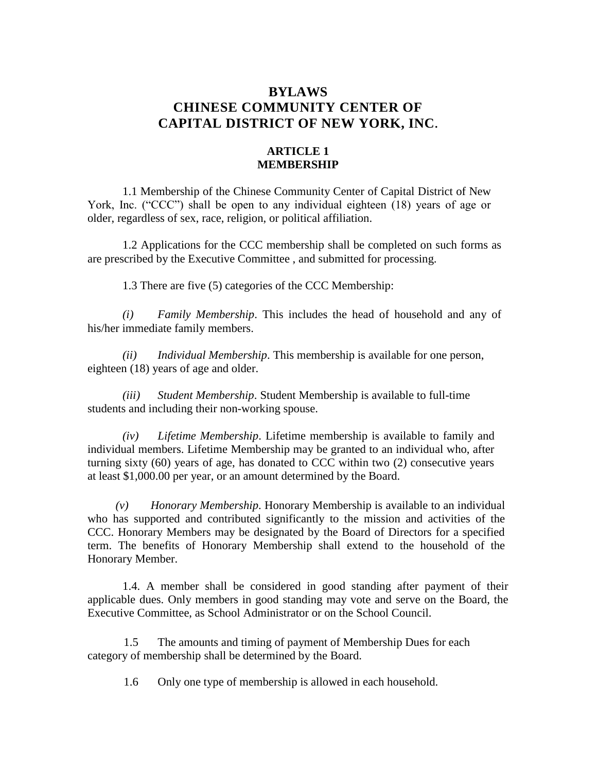# **BYLAWS CHINESE COMMUNITY CENTER OF CAPITAL DISTRICT OF NEW YORK, INC.**

# **ARTICLE 1 MEMBERSHIP**

1.1 Membership of the Chinese Community Center of Capital District of New York, Inc. ("CCC") shall be open to any individual eighteen (18) years of age or older, regardless of sex, race, religion, or political affiliation.

1.2 Applications for the CCC membership shall be completed on such forms as are prescribed by the Executive Committee , and submitted for processing.

1.3 There are five (5) categories of the CCC Membership:

*(i) Family Membership*. This includes the head of household and any of his/her immediate family members.

*(ii) Individual Membership*. This membership is available for one person, eighteen (18) years of age and older.

*(iii) Student Membership*. Student Membership is available to full-time students and including their non-working spouse.

*(iv) Lifetime Membership*. Lifetime membership is available to family and individual members. Lifetime Membership may be granted to an individual who, after turning sixty (60) years of age, has donated to CCC within two (2) consecutive years at least \$1,000.00 per year, or an amount determined by the Board.

*(v) Honorary Membership*. Honorary Membership is available to an individual who has supported and contributed significantly to the mission and activities of the CCC. Honorary Members may be designated by the Board of Directors for a specified term. The benefits of Honorary Membership shall extend to the household of the Honorary Member.

1.4. A member shall be considered in good standing after payment of their applicable dues. Only members in good standing may vote and serve on the Board, the Executive Committee, as School Administrator or on the School Council.

1.5 The amounts and timing of payment of Membership Dues for each category of membership shall be determined by the Board.

1.6 Only one type of membership is allowed in each household.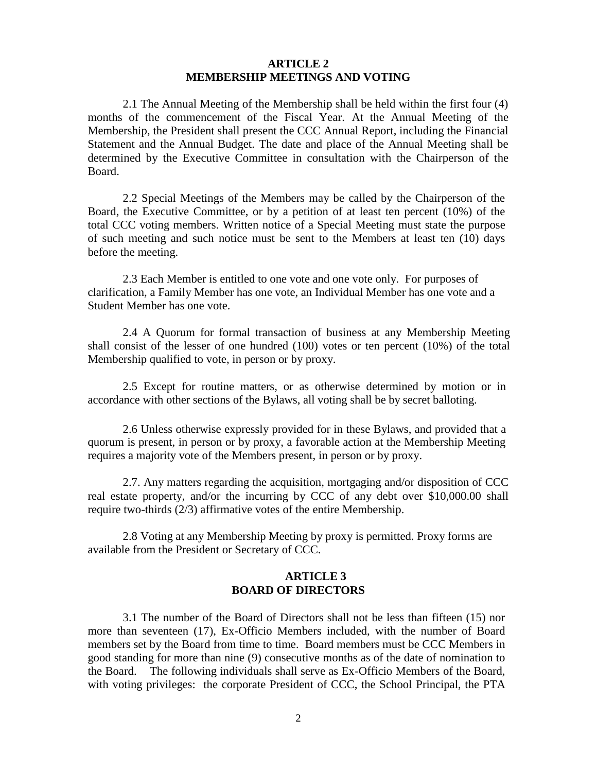## **ARTICLE 2 MEMBERSHIP MEETINGS AND VOTING**

2.1 The Annual Meeting of the Membership shall be held within the first four (4) months of the commencement of the Fiscal Year. At the Annual Meeting of the Membership, the President shall present the CCC Annual Report, including the Financial Statement and the Annual Budget. The date and place of the Annual Meeting shall be determined by the Executive Committee in consultation with the Chairperson of the Board.

2.2 Special Meetings of the Members may be called by the Chairperson of the Board, the Executive Committee, or by a petition of at least ten percent (10%) of the total CCC voting members. Written notice of a Special Meeting must state the purpose of such meeting and such notice must be sent to the Members at least ten (10) days before the meeting.

2.3 Each Member is entitled to one vote and one vote only. For purposes of clarification, a Family Member has one vote, an Individual Member has one vote and a Student Member has one vote.

2.4 A Quorum for formal transaction of business at any Membership Meeting shall consist of the lesser of one hundred (100) votes or ten percent (10%) of the total Membership qualified to vote, in person or by proxy.

2.5 Except for routine matters, or as otherwise determined by motion or in accordance with other sections of the Bylaws, all voting shall be by secret balloting.

2.6 Unless otherwise expressly provided for in these Bylaws, and provided that a quorum is present, in person or by proxy, a favorable action at the Membership Meeting requires a majority vote of the Members present, in person or by proxy.

2.7. Any matters regarding the acquisition, mortgaging and/or disposition of CCC real estate property, and/or the incurring by CCC of any debt over \$10,000.00 shall require two-thirds (2/3) affirmative votes of the entire Membership.

2.8 Voting at any Membership Meeting by proxy is permitted. Proxy forms are available from the President or Secretary of CCC.

#### **ARTICLE 3 BOARD OF DIRECTORS**

3.1 The number of the Board of Directors shall not be less than fifteen (15) nor more than seventeen (17), Ex-Officio Members included, with the number of Board members set by the Board from time to time. Board members must be CCC Members in good standing for more than nine (9) consecutive months as of the date of nomination to the Board. The following individuals shall serve as Ex-Officio Members of the Board, with voting privileges: the corporate President of CCC, the School Principal, the PTA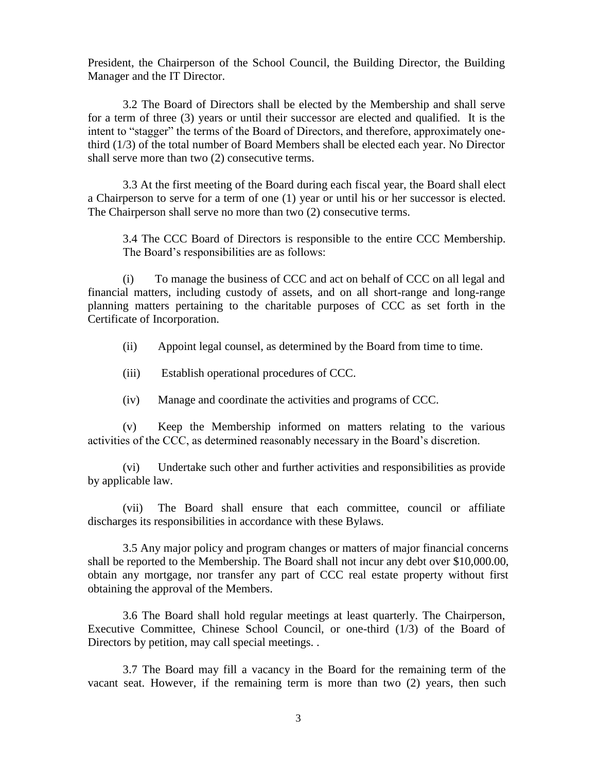President, the Chairperson of the School Council, the Building Director, the Building Manager and the IT Director.

3.2 The Board of Directors shall be elected by the Membership and shall serve for a term of three (3) years or until their successor are elected and qualified. It is the intent to "stagger" the terms of the Board of Directors, and therefore, approximately onethird (1/3) of the total number of Board Members shall be elected each year. No Director shall serve more than two (2) consecutive terms.

3.3 At the first meeting of the Board during each fiscal year, the Board shall elect a Chairperson to serve for a term of one (1) year or until his or her successor is elected. The Chairperson shall serve no more than two (2) consecutive terms.

3.4 The CCC Board of Directors is responsible to the entire CCC Membership. The Board's responsibilities are as follows:

(i) To manage the business of CCC and act on behalf of CCC on all legal and financial matters, including custody of assets, and on all short-range and long-range planning matters pertaining to the charitable purposes of CCC as set forth in the Certificate of Incorporation.

- (ii) Appoint legal counsel, as determined by the Board from time to time.
- (iii) Establish operational procedures of CCC.
- (iv) Manage and coordinate the activities and programs of CCC.

(v) Keep the Membership informed on matters relating to the various activities of the CCC, as determined reasonably necessary in the Board's discretion.

(vi) Undertake such other and further activities and responsibilities as provide by applicable law.

(vii) The Board shall ensure that each committee, council or affiliate discharges its responsibilities in accordance with these Bylaws.

3.5 Any major policy and program changes or matters of major financial concerns shall be reported to the Membership. The Board shall not incur any debt over \$10,000.00, obtain any mortgage, nor transfer any part of CCC real estate property without first obtaining the approval of the Members.

3.6 The Board shall hold regular meetings at least quarterly. The Chairperson, Executive Committee, Chinese School Council, or one-third (1/3) of the Board of Directors by petition, may call special meetings. .

3.7 The Board may fill a vacancy in the Board for the remaining term of the vacant seat. However, if the remaining term is more than two (2) years, then such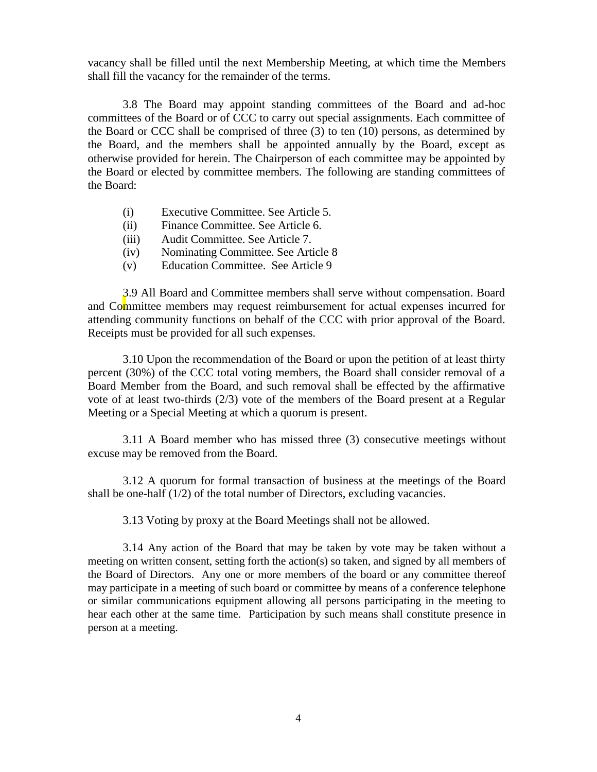vacancy shall be filled until the next Membership Meeting, at which time the Members shall fill the vacancy for the remainder of the terms.

3.8 The Board may appoint standing committees of the Board and ad-hoc committees of the Board or of CCC to carry out special assignments. Each committee of the Board or CCC shall be comprised of three (3) to ten (10) persons, as determined by the Board, and the members shall be appointed annually by the Board, except as otherwise provided for herein. The Chairperson of each committee may be appointed by the Board or elected by committee members. The following are standing committees of the Board:

- (i) Executive Committee. See Article 5.
- (ii) Finance Committee. See Article 6.
- (iii) Audit Committee. See Article 7.
- (iv) Nominating Committee. See Article 8
- (v) Education Committee. See Article 9

3.9 All Board and Committee members shall serve without compensation. Board and Committee members may request reimbursement for actual expenses incurred for attending community functions on behalf of the CCC with prior approval of the Board. Receipts must be provided for all such expenses.

3.10 Upon the recommendation of the Board or upon the petition of at least thirty percent (30%) of the CCC total voting members, the Board shall consider removal of a Board Member from the Board, and such removal shall be effected by the affirmative vote of at least two-thirds (2/3) vote of the members of the Board present at a Regular Meeting or a Special Meeting at which a quorum is present.

3.11 A Board member who has missed three (3) consecutive meetings without excuse may be removed from the Board.

3.12 A quorum for formal transaction of business at the meetings of the Board shall be one-half (1/2) of the total number of Directors, excluding vacancies.

3.13 Voting by proxy at the Board Meetings shall not be allowed.

3.14 Any action of the Board that may be taken by vote may be taken without a meeting on written consent, setting forth the action(s) so taken, and signed by all members of the Board of Directors. Any one or more members of the board or any committee thereof may participate in a meeting of such board or committee by means of a conference telephone or similar communications equipment allowing all persons participating in the meeting to hear each other at the same time. Participation by such means shall constitute presence in person at a meeting.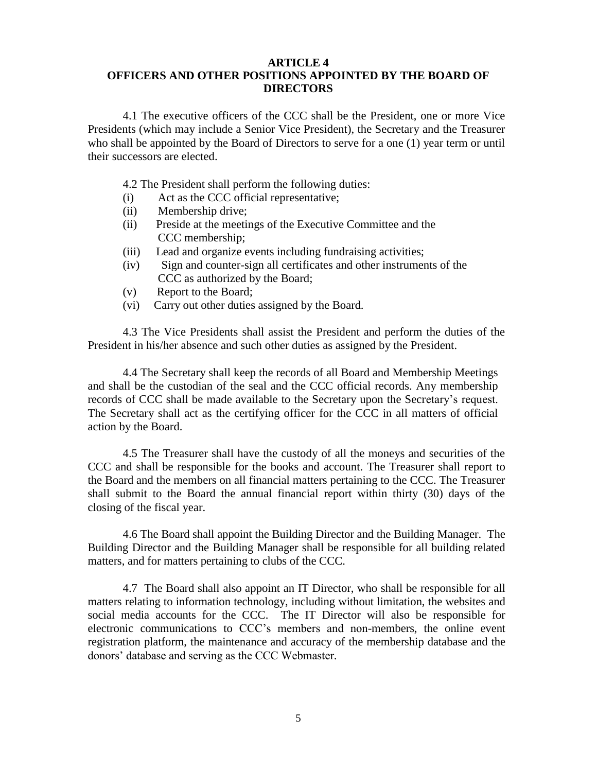#### **ARTICLE 4 OFFICERS AND OTHER POSITIONS APPOINTED BY THE BOARD OF DIRECTORS**

4.1 The executive officers of the CCC shall be the President, one or more Vice Presidents (which may include a Senior Vice President), the Secretary and the Treasurer who shall be appointed by the Board of Directors to serve for a one (1) year term or until their successors are elected.

4.2 The President shall perform the following duties:

- (i) Act as the CCC official representative;
- (ii) Membership drive;
- (ii) Preside at the meetings of the Executive Committee and the CCC membership;
- (iii) Lead and organize events including fundraising activities;
- (iv) Sign and counter-sign all certificates and other instruments of the CCC as authorized by the Board;
- (v) Report to the Board;
- (vi) Carry out other duties assigned by the Board.

4.3 The Vice Presidents shall assist the President and perform the duties of the President in his/her absence and such other duties as assigned by the President.

4.4 The Secretary shall keep the records of all Board and Membership Meetings and shall be the custodian of the seal and the CCC official records. Any membership records of CCC shall be made available to the Secretary upon the Secretary's request. The Secretary shall act as the certifying officer for the CCC in all matters of official action by the Board.

4.5 The Treasurer shall have the custody of all the moneys and securities of the CCC and shall be responsible for the books and account. The Treasurer shall report to the Board and the members on all financial matters pertaining to the CCC. The Treasurer shall submit to the Board the annual financial report within thirty (30) days of the closing of the fiscal year.

4.6 The Board shall appoint the Building Director and the Building Manager. The Building Director and the Building Manager shall be responsible for all building related matters, and for matters pertaining to clubs of the CCC.

4.7 The Board shall also appoint an IT Director, who shall be responsible for all matters relating to information technology, including without limitation, the websites and social media accounts for the CCC. The IT Director will also be responsible for electronic communications to CCC's members and non-members, the online event registration platform, the maintenance and accuracy of the membership database and the donors' database and serving as the CCC Webmaster.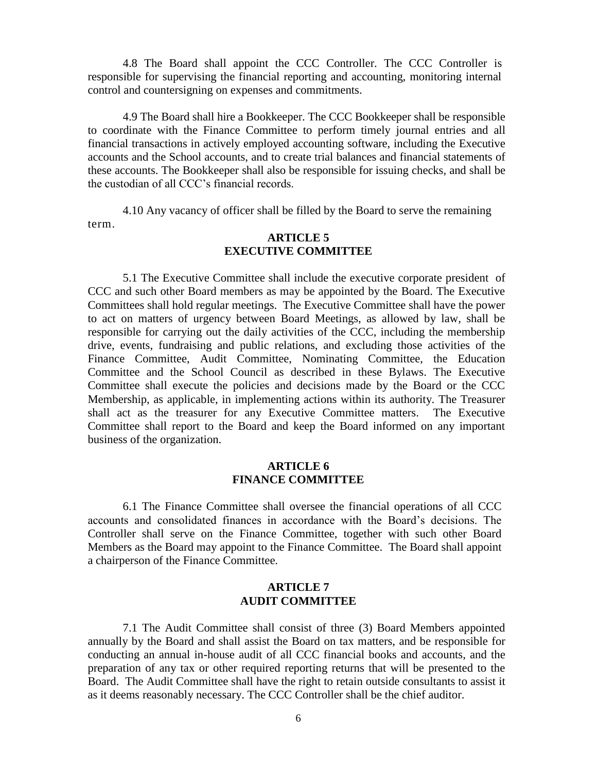4.8 The Board shall appoint the CCC Controller. The CCC Controller is responsible for supervising the financial reporting and accounting, monitoring internal control and countersigning on expenses and commitments.

4.9 The Board shall hire a Bookkeeper. The CCC Bookkeeper shall be responsible to coordinate with the Finance Committee to perform timely journal entries and all financial transactions in actively employed accounting software, including the Executive accounts and the School accounts, and to create trial balances and financial statements of these accounts. The Bookkeeper shall also be responsible for issuing checks, and shall be the custodian of all CCC's financial records.

4.10 Any vacancy of officer shall be filled by the Board to serve the remaining term.

# **ARTICLE 5 EXECUTIVE COMMITTEE**

5.1 The Executive Committee shall include the executive corporate president of CCC and such other Board members as may be appointed by the Board. The Executive Committees shall hold regular meetings. The Executive Committee shall have the power to act on matters of urgency between Board Meetings, as allowed by law, shall be responsible for carrying out the daily activities of the CCC, including the membership drive, events, fundraising and public relations, and excluding those activities of the Finance Committee, Audit Committee, Nominating Committee, the Education Committee and the School Council as described in these Bylaws. The Executive Committee shall execute the policies and decisions made by the Board or the CCC Membership, as applicable, in implementing actions within its authority. The Treasurer shall act as the treasurer for any Executive Committee matters. The Executive Committee shall report to the Board and keep the Board informed on any important business of the organization.

# **ARTICLE 6 FINANCE COMMITTEE**

6.1 The Finance Committee shall oversee the financial operations of all CCC accounts and consolidated finances in accordance with the Board's decisions. The Controller shall serve on the Finance Committee, together with such other Board Members as the Board may appoint to the Finance Committee. The Board shall appoint a chairperson of the Finance Committee.

#### **ARTICLE 7 AUDIT COMMITTEE**

7.1 The Audit Committee shall consist of three (3) Board Members appointed annually by the Board and shall assist the Board on tax matters, and be responsible for conducting an annual in-house audit of all CCC financial books and accounts, and the preparation of any tax or other required reporting returns that will be presented to the Board. The Audit Committee shall have the right to retain outside consultants to assist it as it deems reasonably necessary. The CCC Controller shall be the chief auditor.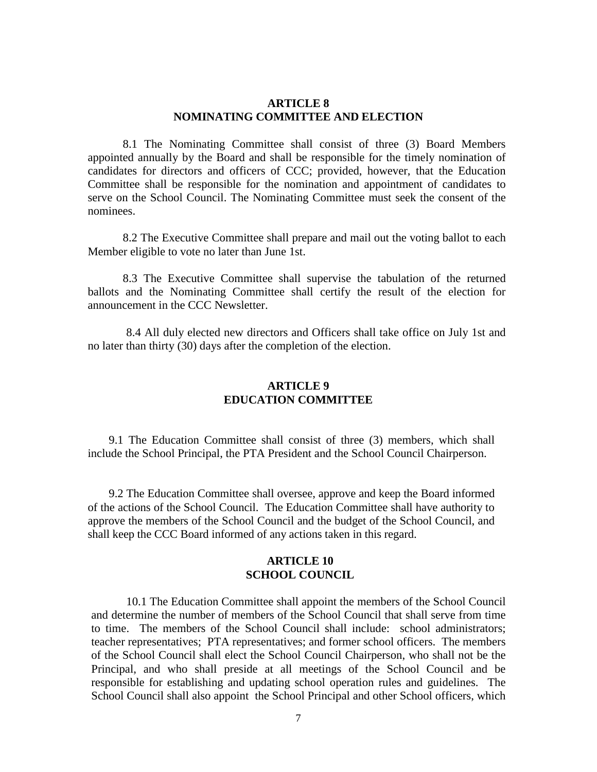#### **ARTICLE 8 NOMINATING COMMITTEE AND ELECTION**

8.1 The Nominating Committee shall consist of three (3) Board Members appointed annually by the Board and shall be responsible for the timely nomination of candidates for directors and officers of CCC; provided, however, that the Education Committee shall be responsible for the nomination and appointment of candidates to serve on the School Council. The Nominating Committee must seek the consent of the nominees.

8.2 The Executive Committee shall prepare and mail out the voting ballot to each Member eligible to vote no later than June 1st.

8.3 The Executive Committee shall supervise the tabulation of the returned ballots and the Nominating Committee shall certify the result of the election for announcement in the CCC Newsletter.

8.4 All duly elected new directors and Officers shall take office on July 1st and no later than thirty (30) days after the completion of the election.

# **ARTICLE 9 EDUCATION COMMITTEE**

9.1 The Education Committee shall consist of three (3) members, which shall include the School Principal, the PTA President and the School Council Chairperson.

9.2 The Education Committee shall oversee, approve and keep the Board informed of the actions of the School Council. The Education Committee shall have authority to approve the members of the School Council and the budget of the School Council, and shall keep the CCC Board informed of any actions taken in this regard.

#### **ARTICLE 10 SCHOOL COUNCIL**

10.1 The Education Committee shall appoint the members of the School Council and determine the number of members of the School Council that shall serve from time to time. The members of the School Council shall include: school administrators; teacher representatives; PTA representatives; and former school officers. The members of the School Council shall elect the School Council Chairperson, who shall not be the Principal, and who shall preside at all meetings of the School Council and be responsible for establishing and updating school operation rules and guidelines. The School Council shall also appoint the School Principal and other School officers, which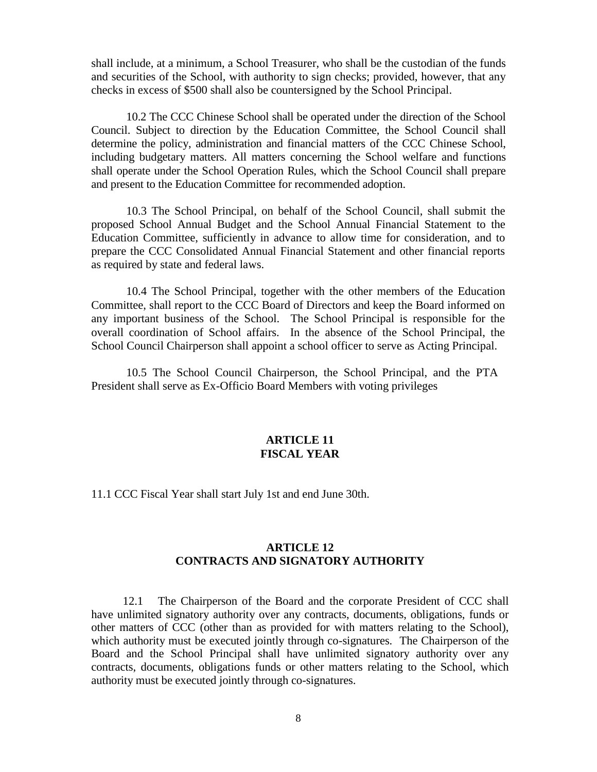shall include, at a minimum, a School Treasurer, who shall be the custodian of the funds and securities of the School, with authority to sign checks; provided, however, that any checks in excess of \$500 shall also be countersigned by the School Principal.

10.2 The CCC Chinese School shall be operated under the direction of the School Council. Subject to direction by the Education Committee, the School Council shall determine the policy, administration and financial matters of the CCC Chinese School, including budgetary matters. All matters concerning the School welfare and functions shall operate under the School Operation Rules, which the School Council shall prepare and present to the Education Committee for recommended adoption.

10.3 The School Principal, on behalf of the School Council, shall submit the proposed School Annual Budget and the School Annual Financial Statement to the Education Committee, sufficiently in advance to allow time for consideration, and to prepare the CCC Consolidated Annual Financial Statement and other financial reports as required by state and federal laws.

10.4 The School Principal, together with the other members of the Education Committee, shall report to the CCC Board of Directors and keep the Board informed on any important business of the School. The School Principal is responsible for the overall coordination of School affairs. In the absence of the School Principal, the School Council Chairperson shall appoint a school officer to serve as Acting Principal.

10.5 The School Council Chairperson, the School Principal, and the PTA President shall serve as Ex-Officio Board Members with voting privileges

#### **ARTICLE 11 FISCAL YEAR**

11.1 CCC Fiscal Year shall start July 1st and end June 30th.

# **ARTICLE 12 CONTRACTS AND SIGNATORY AUTHORITY**

12.1 The Chairperson of the Board and the corporate President of CCC shall have unlimited signatory authority over any contracts, documents, obligations, funds or other matters of CCC (other than as provided for with matters relating to the School), which authority must be executed jointly through co-signatures. The Chairperson of the Board and the School Principal shall have unlimited signatory authority over any contracts, documents, obligations funds or other matters relating to the School, which authority must be executed jointly through co-signatures.